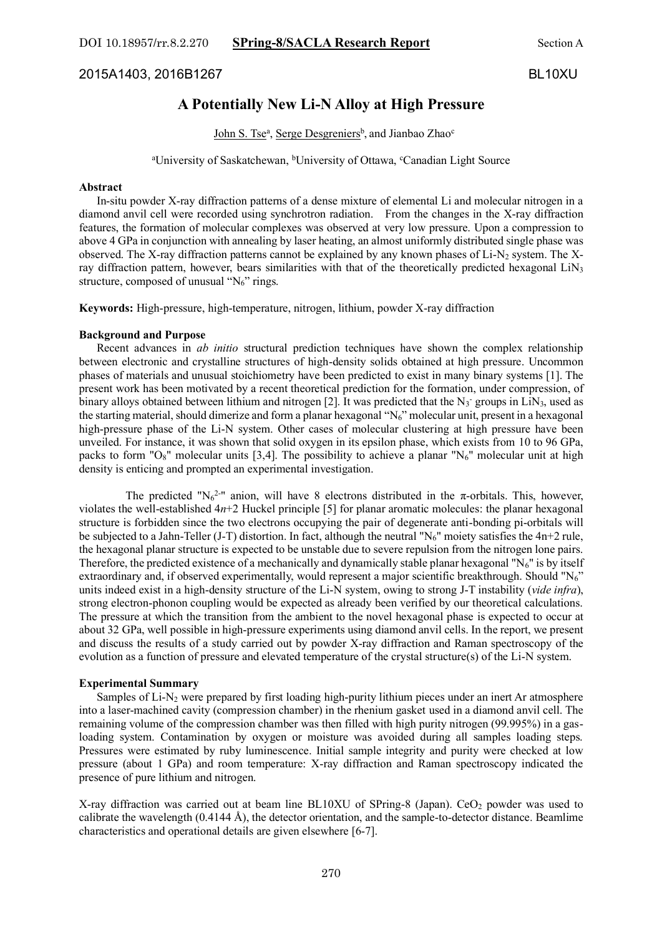2015A1403, 2016B1267 BL10XU

# **A Potentially New Li-N Alloy at High Pressure**

John S. Tse<sup>a</sup>, Serge Desgreniers<sup>b</sup>, and Jianbao Zhao<sup>c</sup>

<sup>a</sup>University of Saskatchewan, <sup>b</sup>University of Ottawa, <sup>c</sup>Canadian Light Source

### **Abstract**

 In-situ powder X-ray diffraction patterns of a dense mixture of elemental Li and molecular nitrogen in a diamond anvil cell were recorded using synchrotron radiation. From the changes in the X-ray diffraction features, the formation of molecular complexes was observed at very low pressure. Upon a compression to above 4 GPa in conjunction with annealing by laser heating, an almost uniformly distributed single phase was observed. The X-ray diffraction patterns cannot be explained by any known phases of Li-N<sub>2</sub> system. The Xray diffraction pattern, however, bears similarities with that of the theoretically predicted hexagonal  $LiN<sub>3</sub>$ structure, composed of unusual " $N_6$ " rings.

**Keywords:** High-pressure, high-temperature, nitrogen, lithium, powder X-ray diffraction

#### **Background and Purpose**

 Recent advances in *ab initio* structural prediction techniques have shown the complex relationship between electronic and crystalline structures of high-density solids obtained at high pressure. Uncommon phases of materials and unusual stoichiometry have been predicted to exist in many binary systems [1]. The present work has been motivated by a recent theoretical prediction for the formation, under compression, of binary alloys obtained between lithium and nitrogen [2]. It was predicted that the  $N_3$  groups in LiN<sub>3</sub>, used as the starting material, should dimerize and form a planar hexagonal "N6" molecular unit, present in a hexagonal high-pressure phase of the Li-N system. Other cases of molecular clustering at high pressure have been unveiled. For instance, it was shown that solid oxygen in its epsilon phase, which exists from 10 to 96 GPa, packs to form "O<sub>8</sub>" molecular units [3,4]. The possibility to achieve a planar "N<sub>6</sub>" molecular unit at high density is enticing and prompted an experimental investigation.

The predicted "N<sub>6</sub><sup>2-</sup>" anion, will have 8 electrons distributed in the  $\pi$ -orbitals. This, however, violates the well-established 4*n*+2 Huckel principle [5] for planar aromatic molecules: the planar hexagonal structure is forbidden since the two electrons occupying the pair of degenerate anti-bonding pi-orbitals will be subjected to a Jahn-Teller (J-T) distortion. In fact, although the neutral "N<sub>6</sub>" moiety satisfies the  $4n+2$  rule, the hexagonal planar structure is expected to be unstable due to severe repulsion from the nitrogen lone pairs. Therefore, the predicted existence of a mechanically and dynamically stable planar hexagonal " $N_6$ " is by itself extraordinary and, if observed experimentally, would represent a major scientific breakthrough. Should "N<sub>6</sub>" units indeed exist in a high-density structure of the Li-N system, owing to strong J-T instability (*vide infra*), strong electron-phonon coupling would be expected as already been verified by our theoretical calculations. The pressure at which the transition from the ambient to the novel hexagonal phase is expected to occur at about 32 GPa, well possible in high-pressure experiments using diamond anvil cells. In the report, we present and discuss the results of a study carried out by powder X-ray diffraction and Raman spectroscopy of the evolution as a function of pressure and elevated temperature of the crystal structure(s) of the Li-N system.

#### **Experimental Summary**

 Samples of Li-N<sup>2</sup> were prepared by first loading high-purity lithium pieces under an inert Ar atmosphere into a laser-machined cavity (compression chamber) in the rhenium gasket used in a diamond anvil cell. The remaining volume of the compression chamber was then filled with high purity nitrogen (99.995%) in a gasloading system. Contamination by oxygen or moisture was avoided during all samples loading steps. Pressures were estimated by ruby luminescence. Initial sample integrity and purity were checked at low pressure (about 1 GPa) and room temperature: X-ray diffraction and Raman spectroscopy indicated the presence of pure lithium and nitrogen.

X-ray diffraction was carried out at beam line BL10XU of SPring-8 (Japan). CeO<sub>2</sub> powder was used to calibrate the wavelength (0.4144 Å), the detector orientation, and the sample-to-detector distance. Beamlime characteristics and operational details are given elsewhere [6-7].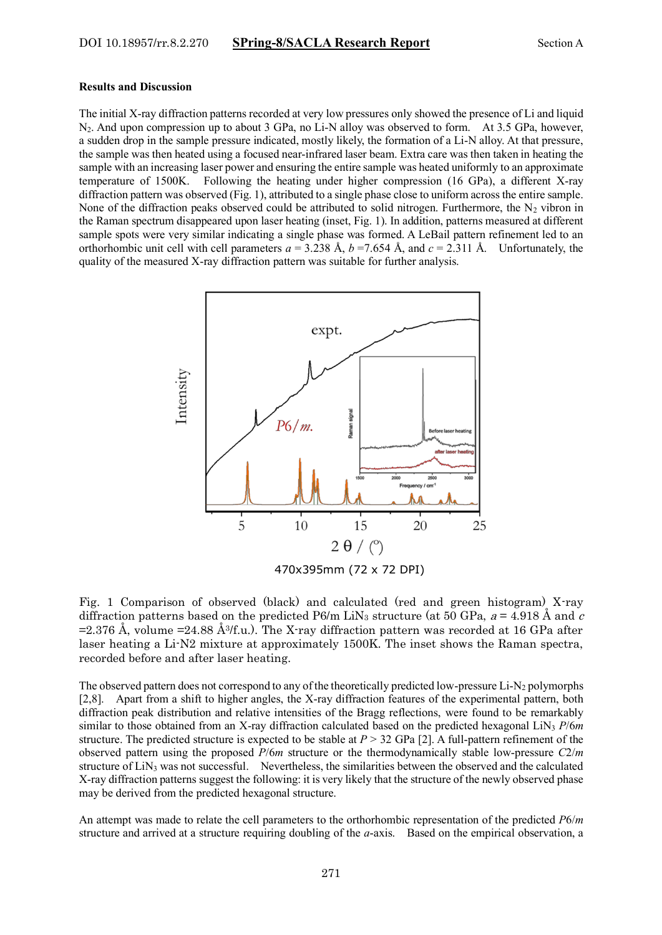#### **Results and Discussion**

The initial X-ray diffraction patterns recorded at very low pressures only showed the presence of Li and liquid N2. And upon compression up to about 3 GPa, no Li-N alloy was observed to form. At 3.5 GPa, however, a sudden drop in the sample pressure indicated, mostly likely, the formation of a Li-N alloy. At that pressure, the sample was then heated using a focused near-infrared laser beam. Extra care was then taken in heating the sample with an increasing laser power and ensuring the entire sample was heated uniformly to an approximate temperature of 1500K. Following the heating under higher compression (16 GPa), a different X-ray diffraction pattern was observed (Fig. 1), attributed to a single phase close to uniform across the entire sample. None of the diffraction peaks observed could be attributed to solid nitrogen. Furthermore, the  $N_2$  vibron in the Raman spectrum disappeared upon laser heating (inset, Fig. 1). In addition, patterns measured at different sample spots were very similar indicating a single phase was formed. A LeBail pattern refinement led to an orthorhombic unit cell with cell parameters  $a = 3.238$  Å,  $b = 7.654$  Å, and  $c = 2.311$  Å. Unfortunately, the quality of the measured X-ray diffraction pattern was suitable for further analysis.



Fig. 1 Comparison of observed (black) and calculated (red and green histogram) X-ray diffraction patterns based on the predicted P6/m LiN<sub>3</sub> structure (at 50 GPa,  $a = 4.918 \text{ Å}$  and c  $=2.376$  Å, volume  $=24.88$  Å<sup>3</sup>/f.u.). The X-ray diffraction pattern was recorded at 16 GPa after laser heating a Li-N2 mixture at approximately 1500K. The inset shows the Raman spectra, recorded before and after laser heating.

The observed pattern does not correspond to any of the theoretically predicted low-pressure  $Li-N_2$  polymorphs [2,8]. Apart from a shift to higher angles, the X-ray diffraction features of the experimental pattern, both diffraction peak distribution and relative intensities of the Bragg reflections, were found to be remarkably similar to those obtained from an X-ray diffraction calculated based on the predicted hexagonal LiN<sup>3</sup> *P*/6*m* structure. The predicted structure is expected to be stable at *P* > 32 GPa [2]. A full-pattern refinement of the observed pattern using the proposed *P*/6*m* structure or the thermodynamically stable low-pressure *C*2/*m* structure of LiN<sup>3</sup> was not successful. Nevertheless, the similarities between the observed and the calculated X-ray diffraction patterns suggest the following: it is very likely that the structure of the newly observed phase may be derived from the predicted hexagonal structure.

An attempt was made to relate the cell parameters to the orthorhombic representation of the predicted *P*6/*m* structure and arrived at a structure requiring doubling of the *a*-axis. Based on the empirical observation, a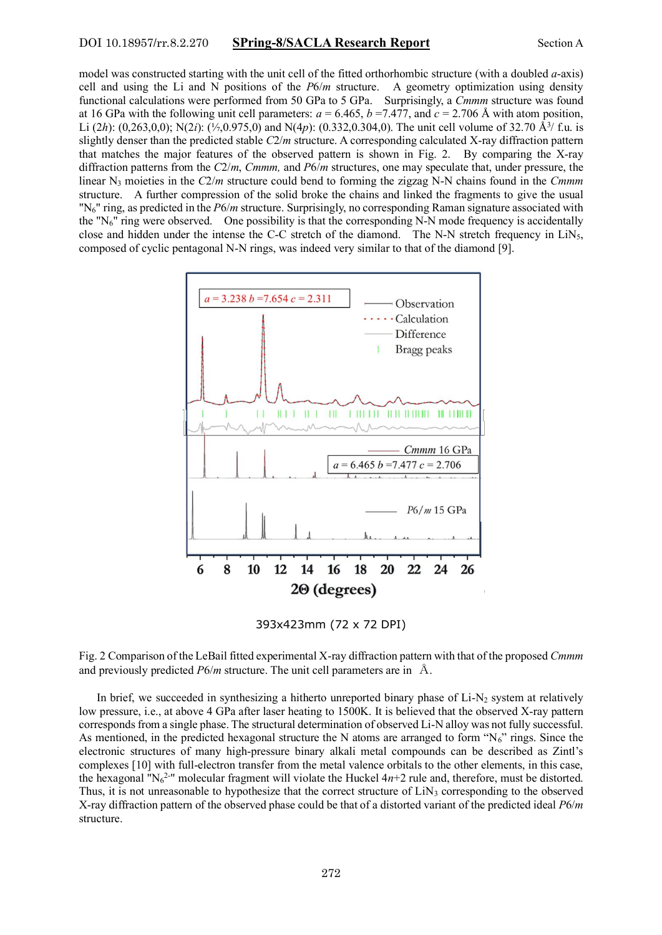### DOI 10.18957/rr.8.2.270 **SPring-8/SACLA Research Report** Section A

model was constructed starting with the unit cell of the fitted orthorhombic structure (with a doubled *a*-axis) cell and using the Li and N positions of the *P*6/*m* structure. A geometry optimization using density functional calculations were performed from 50 GPa to 5 GPa. Surprisingly, a *Cmmm* structure was found at 16 GPa with the following unit cell parameters:  $a = 6.465$ ,  $b = 7.477$ , and  $c = 2.706$  Å with atom position, Li (2h): (0,263,0,0); N(2i): (1,0,975,0) and N(4p): (0.332,0.304,0). The unit cell volume of 32.70 Å<sup>3</sup>/ f.u. is slightly denser than the predicted stable *C*2/*m* structure. A corresponding calculated X-ray diffraction pattern that matches the major features of the observed pattern is shown in Fig. 2. By comparing the X-ray diffraction patterns from the *C*2/*m*, *Cmmm,* and *P*6/*m* structures, one may speculate that, under pressure, the linear N<sup>3</sup> moieties in the *C*2/*m* structure could bend to forming the zigzag N-N chains found in the *Cmmm*  structure. A further compression of the solid broke the chains and linked the fragments to give the usual "N6" ring, as predicted in the *P*6/*m* structure. Surprisingly, no corresponding Raman signature associated with the " $N_6$ " ring were observed. One possibility is that the corresponding N-N mode frequency is accidentally close and hidden under the intense the C-C stretch of the diamond. The N-N stretch frequency in LiN<sub>5</sub>, composed of cyclic pentagonal N-N rings, was indeed very similar to that of the diamond [9].



393x423mm (72 x 72 DPI)

Fig. 2 Comparison of the LeBail fitted experimental X-ray diffraction pattern with that of the proposed *Cmmm* and previously predicted *P*6/*m* structure. The unit cell parameters are in Å.

In brief, we succeeded in synthesizing a hitherto unreported binary phase of  $Li-N<sub>2</sub>$  system at relatively low pressure, i.e., at above 4 GPa after laser heating to 1500K. It is believed that the observed X-ray pattern corresponds from a single phase. The structural determination of observed Li-N alloy was not fully successful. As mentioned, in the predicted hexagonal structure the N atoms are arranged to form " $N_6$ " rings. Since the electronic structures of many high-pressure binary alkali metal compounds can be described as Zintl's complexes [10] with full-electron transfer from the metal valence orbitals to the other elements, in this case, the hexagonal "N $_6$ <sup>2-</sup>" molecular fragment will violate the Huckel  $4n+2$  rule and, therefore, must be distorted. Thus, it is not unreasonable to hypothesize that the correct structure of LiN<sub>3</sub> corresponding to the observed X-ray diffraction pattern of the observed phase could be that of a distorted variant of the predicted ideal *P*6/*m* structure.